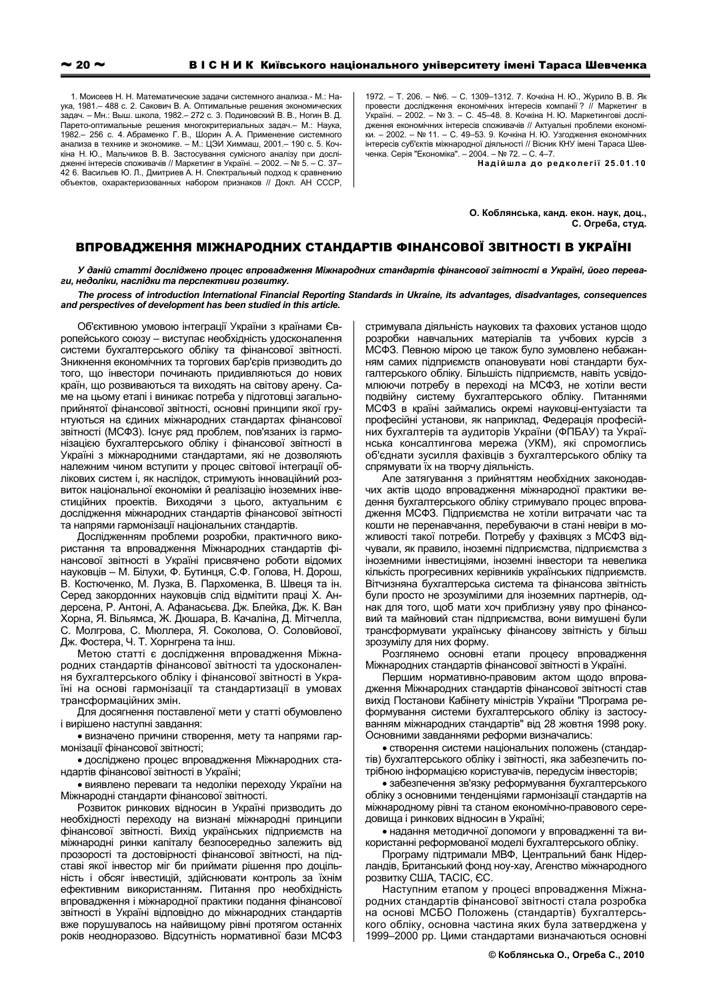1. Моисеев Н. Н. Математические задачи системного анализа.- М.: Наука, 1981 - 488 с. 2. Сакович В. А. Оптимальные решения экономических .<br>задач. – Мн.: Выш. школа. 1982.– 272 с. 3. Подиновский В. В.. Ногин В. Д. Парето-оптимальные решения многокритериальных задач. - М.: Наука, 1982 - 256 с. 4. Абраменко Г. В., Шорин А. А. Применение системного<br>анализа в технике и экономике. - М.: ЦЭИ Химмаш, 2001 - 190 с. 5. Кочкіна Н. Ю., Мальчиков В. В. Застосування сумісного аналізу при дослідженні інтересів споживачів // Маркетинг в Україні. - 2002. - № 5. - С. 37-.<br>42 6. Васильев Ю. Л., Дмитриев А. Н. Спектральный подход к сравнению объектов, охарактеризованных набором признаков // Докл. АН СССР, 1972. - Т. 206. - №6. - С. 1309-1312. 7. Кочкіна Н. Ю., Журило В. В. Як провести дослідження економічних інтересів компанії? // Маркетинг в Україні. - 2002. - № 3. - С. 45-48. 8. Кочкіна Н. Ю. Маркетингові дослідження економічних інтересів споживачів // Актуальні проблеми економіки. - 2002. - № 11. - С. 49-53. 9. Кочкіна Н. Ю. Узгодження економічних інтересів суб'єктів міжнародної діяльності // Вісник КНУ імені Тараса Шевченка. Серія "Економіка". - 2004. - № 72. - С. 4-7.

Надійшла до редколегії 25.01.10

О. Коблянська, канд. екон. наук, доц., С. Огреба. студ.

## ВПРОВАДЖЕННЯ МІЖНАРОДНИХ СТАНДАРТІВ ФІНАНСОВОЇ ЗВІТНОСТІ В УКРАЇНІ

У даній статті досліджено процес впровадження Міжнародних стандартів фінансової звітності в Україні, його переваги, недоліки, наслідки та перспективи розвитку.

## The process of introduction International Financial Reporting Standards in Ukraine, its advantages, disadvantages, consequences and perspectives of development has been studied in this article.

Об'єктивною умовою інтеграції України з країнами Європейського союзу - виступає необхідність удосконалення системи бухгалтерського обліку та фінансової звітності. Зникнення економічних та торгових бар'єрів призводить до того. Що інвестори починають придивляються до нових країн, що розвиваються та виходять на світову арену. Саме на цьому етапі і виникає потреба у підготовці загальноприйнятої фінансової звітності, основні принципи якої грунтуються на єдиних міжнародних стандартах фінансової звітності (МСФЗ). Існує ряд проблем, пов'язаних із гармонізацією бухгалтерського обліку і фінансової звітності в Україні з міжнародними стандартами, які не дозволяють належним чином вступити у процес світової інтеграції облікових систем і, як наслідок, стримують інноваційний розвиток національної економіки й реалізацію іноземних інвестиційних проектів. Виходячи з цього, актуальним є дослідження міжнародних стандартів фінансової звітності та напрями гармонізації національних стандартів.

Дослідженням проблеми розробки, практичного використання та впровадження Міжнародних стандартів фінансової звітності в Україні присвячено роботи відомих науковців - М. Білухи, Ф. Бутинця, С.Ф. Голова, Н. Дорош, В. Костюченко, М. Лузка, В. Пархоменка, В. Швеця та ін. Серед закордонних науковців слід відмітити праці Х. Андерсена, Р. Антоні, А. Афанасьєва. Дж. Блейка, Дж. К. Ван Хорна, Я. Вільямса, Ж. Дюшара, В. Качаліна, Д. Мітчелла, С. Молгрова, С. Мюллера, Я. Соколова, О. Соловйової, Дж. Фостера, Ч. Т. Хорнгрена та інш.

Метою статті є дослідження впровадження Міжнародних стандартів фінансової звітності та удосконалення бухгалтерського обліку і фінансової звітності в Україні на основі гармонізації та стандартизації в умовах трансформаційних змін.

Для досягнення поставленої мети у статті обумовлено і вирішено наступні завдання:

• визначено причини створення, мету та напрями гармонізації фінансової звітності;

• досліджено процес впровадження Міжнародних стандартів фінансової звітності в Україні;

• виявлено переваги та недоліки переходу України на Міжнародні стандарти фінансової звітності.

Розвиток ринкових відносин в Україні призводить до необхідності переходу на визнані міжнародні принципи фінансової звітності. Вихід українських підприємств на міжнародні ринки капіталу безпосередньо залежить від прозорості та достовірності фінансової звітності, на підставі якої інвестор міг би приймати рішення про доцільність і обсяг інвестицій, здійснювати контроль за їхнім ефективним використанням. Питання про необхідність впровадження і міжнародної практики подання фінансової звітності в Україні відповідно до міжнародних стандартів вже порушувалось на найвищому рівні протягом останніх років неодноразово. Відсутність нормативної бази МСФЗ стримувала діяльність наукових та фахових установ щодо розробки навчальних матеріалів та учбових курсів з МСФЗ. Певною мірою це також було зумовлено небажанням самих підприємств опановувати нові стандарти бухгалтерського обліку. Більшість підприємств. навіть усвідомлюючи потребу в переході на МСФЗ, не хотіли вести подвійну систему бухгалтерського обліку. Питаннями МСФЗ в країні займались окремі науковці-ентузіасти та професійні установи, як наприклад, Федерація професійних бухгалтерів та аудиторів України (ФПБАУ) та Українська консалтингова мережа (УКМ), які спромоглись об'єднати зусилля фахівців з бухгалтерського обліку та спрямувати їх на творчу діяльність.

Але затягування з прийняттям необхідних законодавчих актів щодо впровадження міжнародної практики ведення бухгалтерського обліку стримувало процес впровадження МСФЗ. Підприємства не хотіли витрачати час та кошти не перенавчання, перебуваючи в стані невіри в можливості такої потреби. Потребу у фахівцях з МСФЗ відчували, як правило, іноземні підприємства, підприємства з іноземними інвестиціями, іноземні інвестори та невелика кількість прогресивних керівників українських підприємств. Вітчизняна бухгалтерська система та фінансова звітність були просто не зрозумілими для іноземних партнерів, однак для того. щоб мати хоч приблизну уяву про фінансовий та майновий стан підприємства, вони вимушені були трансформувати українську фінансову звітність у більш зрозумілу для них форму.

Розглянемо основні етапи процесу впровадження Міжнародних стандартів фінансової звітності в Україні.

Першим нормативно-правовим актом шодо впровадження Міжнародних стандартів фінансової звітності став вихід Постанови Кабінету міністрів України "Програма реформування системи бухгалтерського обліку із застосуванням міжнародних стандартів" від 28 жовтня 1998 року. Основними завданнями реформи визначались:

• створення системи національних положень (стандартів) бухгалтерського обліку і звітності, яка забезпечить потрібною інформацією користувачів, передусім інвесторів;

• забезпечення зв'язку реформування бухгалтерського обліку з основними тенденціями гармонізації стандартів на міжнародному рівні та станом економічно-правового середовища і ринкових відносин в Україні;

• надання методичної допомоги у впровадженні та використанні реформованої моделі бухгалтерського обліку.

Програму підтримали МВФ, Центральний банк Нідерландів, Британський фонд ноу-хау, Агенство міжнародного розвитку США, ТАСІС, ЄС.

Наступним етапом у процесі впровадження Міжнародних стандартів фінансової звітності стала розробка на основі МСБО Положень (стандартів) бухгалтерського обліку, основна частина яких була затверджена у 1999-2000 рр. Цими стандартами визначаються основні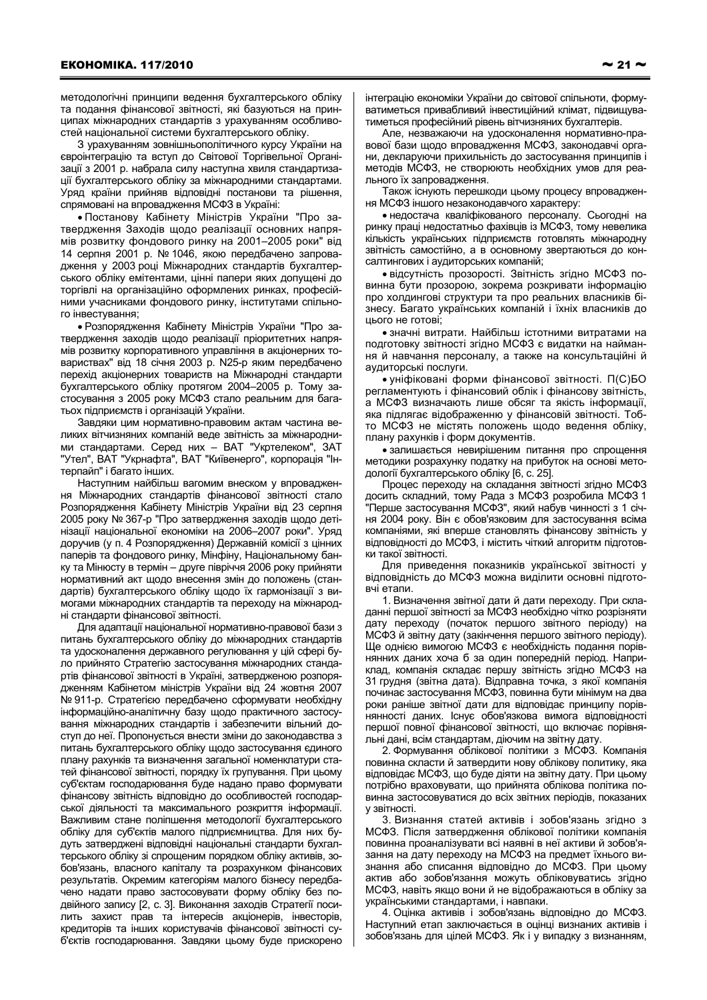методологічні принципи ведення бухгалтерського обліку та подання фінансової звітності, які базуються на принципах міжнародних стандартів з урахуванням особливостей національної системи бухгалтерського обліку.

3 урахуванням зовнішньополітичного курсу України на євроінтеграцію та вступ до Світової Торгівельної Організації з 2001 р. набрала силу наступна хвиля стандартизації бухгалтерського обліку за міжнародними стандартами. Уряд країни прийняв відповідні постанови та рішення, спрямовані на впровадження МСФЗ в Україні:

• Постанову Кабінету Міністрів України "Про затвердження Заходів щодо реалізації основних напрямів розвитку фондового ринку на 2001-2005 роки" від 14 серпня 2001 р. № 1046, якою передбачено запровадження у 2003 році Міжнародних стандартів бухгалтерського обліку емітентами, цінні папери яких допущені до торгівлі на організаційно оформлених ринках, професійними учасниками фондового ринку, інститутами спільного інвестування;

• Розпорядження Кабінету Міністрів України "Про затвердження заходів щодо реалізації пріоритетних напрямів розвитку корпоративного управління в акціонерних товариствах" від 18 січня 2003 р. N25-р яким передбачено перехід акціонерних товариств на Міжнародні стандарти бухгалтерського обліку протягом 2004-2005 р. Тому застосування з 2005 року МСФЗ стало реальним для багатьох підприємств і організацій України.

Завдяки цим нормативно-правовим актам частина великих вітчизняних компаній веде звітність за міжнародними стандартами. Серед них - ВАТ "Укртелеком", ЗАТ "Утел", ВАТ "Укрнафта", ВАТ "Київенерго", корпорація "Інтерпайп" і багато інших.

Наступним найбільш вагомим внеском у впровадження Міжнародних стандартів фінансової звітності стало Розпорядження Кабінету Міністрів України від 23 серпня 2005 року № 367-р "Про затвердження заходів щодо детінізації національної економіки на 2006-2007 роки". Уряд доручив (у п. 4 Розпорядження) Державній комісії з цінних паперів та фондового ринку, Мінфіну, Національному банку та Мінюсту в термін - друге півріччя 2006 року прийняти нормативний акт щодо внесення змін до положень (стандартів) бухгалтерського обліку щодо їх гармонізації з вимогами міжнародних стандартів та переходу на міжнародні стандарти фінансової звітності.

Для адаптації національної нормативно-правової бази з питань бухгалтерського обліку до міжнародних стандартів та удосконалення державного регулювання у цій сфері було прийнято Стратегію застосування міжнародних стандартів фінансової звітності в Україні, затвердженою розпорядженням Кабінетом міністрів України від 24 жовтня 2007 № 911-р. Стратегією передбачено сформувати необхідну інформаційно-аналітичну базу щодо практичного застосування міжнародних стандартів і забезпечити вільний доступ до неї. Пропонується внести зміни до законодавства з питань бухгалтерського обліку щодо застосування єдиного плану рахунків та визначення загальної номенклатури статей фінансової звітності, порядку їх групування. При цьому суб'єктам господарювання буде надано право формувати фінансову звітність відповідно до особливостей господарської діяльності та максимального розкриття інформації. Важливим стане поліпшення методології бухгалтерського обліку для суб'єктів малого підприємництва. Для них будуть затверджені відповідні національні стандарти бухгалтерського обліку зі спрощеним порядком обліку активів, зобов'язань, власного капіталу та розрахунком фінансових результатів. Окремим категоріям малого бізнесу передбачено надати право застосовувати форму обліку без подвійного запису [2, с. 3]. Виконання заходів Стратегії посилить захист прав та інтересів акціонерів, інвесторів, кредиторів та інших користувачів фінансової звітності суб'єктів господарювання. Завдяки цьому буде прискорено

Але, незважаючи на удосконалення нормативно-правової бази щодо впровадження МСФЗ, законодавчі органи, декларуючи прихильність до застосування принципів і методів МСФЗ, не створюють необхідних умов для реального їх запровадження.

Також існують перешкоди цьому процесу впровадження МСФЗ іншого незаконодавчого характеру:

• недостача кваліфікованого персоналу. Сьогодні на ринку праці недостатньо фахівців із МСФЗ, тому невелика кількість українських підприємств готовлять міжнародну звітність самостійно, а в основному звертаються до консалтингових і аудиторських компаній;

• відсутність прозорості. Звітність згідно МСФЗ повинна бути прозорою, зокрема розкривати інформацію про холдингові структури та про реальних власників бізнесу. Багато українських компаній і їхніх власників до цього не готові:

• значні витрати. Найбільш істотними витратами на подготовку звітності згідно МСФЗ є видатки на наймання й навчання персоналу, а также на консультаційні й аудиторські послуги.

• уніфіковані форми фінансової звітності. П(С)БО регламентують і фінансовий облік і фінансову звітність. а МСФЗ визначають лише обсяг та якість інформації, яка підлягає відображенню у фінансовій звітності. Тобто МСФЗ не містять положень щодо ведення обліку, плану рахунків і форм документів.

• залишається невирішеним питання про спрощення методики розрахунку податку на прибуток на основі методології бухгалтерського обліку [6, с. 25].

Процес переходу на складання звітності згідно МСФЗ досить складний, тому Рада з МСФЗ розробила МСФЗ 1 "Перше застосування МСФЗ", який набув чинності з 1 січня 2004 року. Він є обов'язковим для застосування всіма компаніями, які вперше становлять фінансову звітність у відповідності до МСФЗ, і містить чіткий алгоритм підготовки такої звітності.

Для приведення показників української звітності у відповідність до МСФЗ можна виділити основні підготовчі етапи.

1. Визначення звітної дати й дати переходу. При складанні першої звітності за МСФЗ необхідно чітко розрізняти дату переходу (початок першого звітного періоду) на МСФЗ й звітну дату (закінчення першого звітного періоду). Ше однією вимогою МСФЗ є необхідність подання порівнянних даних хоча б за один попередній період. Наприклад, компанія складає першу звітність згідно МСФЗ на 31 грудня (звітна дата). Відправна точка, з якої компанія починає застосування МСФЗ, повинна бути мінімум на два роки раніше звітної дати для відповідає принципу порівнянності даних. Існує обов'язкова вимога відповідності першої повної фінансової звітності, що включає порівняльні дані, всім стандартам, діючим на звітну дату

2. Формування облікової політики з МСФЗ. Компанія повинна скласти й затвердити нову облікову политику, яка відповідає МСФЗ, що буде діяти на звітну дату. При цьому потрібно враховувати, що прийнята облікова політика повинна застосовуватися до всіх звітних періодів. показаних у звітності.

3. Визнання статей активів і зобов'язань згідно з МСФЗ. Після затвердження облікової політики компанія повинна проаналізувати всі наявні в неї активи й зобов'язання на дату переходу на МСФЗ на предмет їхнього визнання або списання відповідно до МСФЗ. При цьому актив або зобов'язання можуть обліковуватись згідно МСФЗ, навіть якщо вони й не відображаються в обліку за українськими стандартами, і навпаки.

4. Оцінка активів і зобов'язань відповідно до МСФЗ. Наступний етап заключається в оцінці визнаних активів і зобов'язань для цілей МСФЗ. Як і у випадку з визнанням,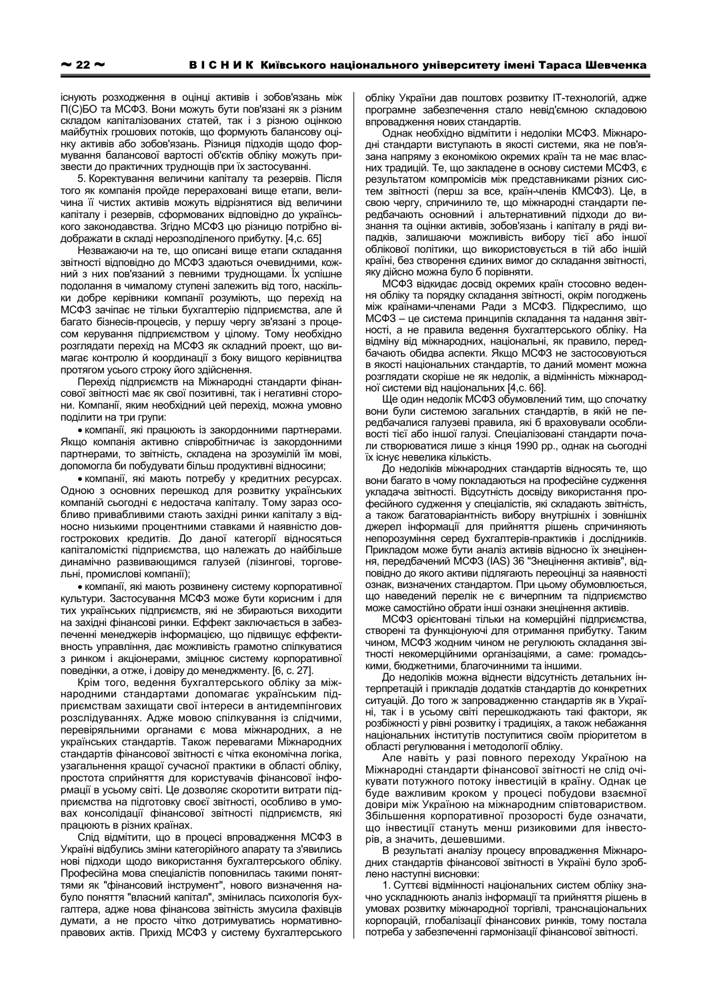існують розходження в оцінці активів і зобов'язань між П(С)БО та МСФЗ. Вони можуть бути пов'язані як з різним складом капіталізованих статей, так і з різною оцінкою майбутніх грошових потоків, що формують балансову оцінку активів або зобов'язань. Різниця підходів щодо формування балансової вартості об'єктів обліку можуть призвести до практичних труднощів при їх застосуванні.

5. Коректування величини капіталу та резервів. Після того як компанія пройде перераховані вище етапи, величина її чистих активів можуть відрізнятися від величини капіталу і резервів, сформованих відповідно до українського законодавства. Згідно МСФЗ цю різницю потрібно відображати в складі нерозподіленого прибутку. [4,с. 65]

Незважаючи на те, що описані вище етапи складання звітності відповідно до МСФЗ здаються очевидними, кожний з них пов'язаний з певними труднощами. Їх успішне подолання в чималому ступені залежить від того, наскільки добре керівники компанії розуміють, що перехід на МСФЗ зачіпає не тільки бухгалтерію підприємства, але й багато бізнесів-процесів, у першу чергу зв'язані з процесом керування підприємством у цілому. Тому необхідно розглядати перехід на МСФЗ як складний проект, що вимагає контролю й координації з боку вищого керівництва протягом усього строку його здійснення.

Перехід підприємств на Міжнародні стандарти фінансової звітності має як свої позитивні, так і негативні сторони. Компанії, яким необхідний цей перехід, можна умовно поділити на три групи:

• компанії, які працюють із закордонними партнерами. Якщо компанія активно співробітничає із закордонними партнерами, то звітність, складена на зрозумілій їм мові, допомогла би побудувати більш продуктивні відносини;

• компанії, які мають потребу у кредитних ресурсах. Одною з основних перешкод для розвитку українських компаній сьогодні є недостача капіталу. Тому зараз особливо привабливими стають західні ринки капіталу з відносно низькими процентними ставками й наявністю довгострокових кредитів. До даної категорії відносяться капіталомісткі підприємства, що належать до найбільше динамічно развивающимся галузей (лізингові, торговельні, промислові компанії);

• компанії, які мають розвинену систему корпоративної культури. Застосування МСФЗ може бути корисним і для тих українських підприємств, які не збираються виходити на західні фінансові ринки. Еффект заключається в забезпеченні менеджерів інформацією, що підвищує еффективность управління, дає можливість грамотно спілкуватися з ринком і акціонерами, зміцнює систему корпоративної поведінки, а отже, і довіру до менеджменту. [6, с. 27].

Крім того, ведення бухгалтерського обліку за міжнародними стандартами допомагає українським підприємствам захищати свої інтереси в антидемпінгових розслідуваннях. Адже мовою спілкування із слідчими, перевіряльними органами є мова міжнародних, а не українських стандартів. Також перевагами Міжнародних стандартів фінансової звітності є чітка економічна логіка, узагальнення кращої сучасної практики в області обліку, простота сприйняття для користувачів фінансової інформації в усьому світі. Це дозволяє скоротити витрати підприємства на підготовку своєї звітності, особливо в умовах консолідації фінансової звітності підприємств. які працюють в різних країнах.

Слід відмітити, що в процесі впровадження МСФЗ в Україні відбулись зміни категорійного апарату та з'явились нові підходи щодо використання бухгалтерського обліку. Професійна мова спеціалістів поповнилась такими поняттями як "фінансовий інструмент", нового визначення набуло поняття "власний капітал", змінилась психологія бухгалтера, адже нова фінансова звітність змусила фахівців думати, а не просто чітко дотримуватись нормативноправових актів. Прихід МСФЗ у систему бухгалтерського

обліку України дав поштовх розвитку IT-технологій, адже програмне забезпечення стало невід'ємною складовою впровадження нових стандартів.

Однак необхідно відмітити і недоліки МСФЗ. Міжнародні стандарти виступають в якості системи, яка не пов'язана напряму з економікою окремих країн та не має власних традицій. Те, що закладене в основу системи МСФЗ, є результатом компромісів між представниками різних систем звітності (перш за все, країн-членів КМСФЗ). Це, в свою чергу, спричинило те, що міжнародні стандарти передбачають основний і альтернативний підходи до визнання та оцінки активів, зобов'язань і капіталу в ряді випадків, залишаючи можливість вибору тієї або іншої облікової політики, що використовується в тій або іншій країні, без створення єдиних вимог до складання звітності, яку дійсно можна було б порівняти.

МСФЗ відкидає досвід окремих країн стосовно ведення обліку та порядку складання звітності, окрім погоджень між країнами-членами Ради з МСФЗ. Підкреслимо, що МСФЗ - це система принципів складання та надання звітності, а не правила ведення бухгалтерського обліку. На відміну від міжнародних, національні, як правило, передбачають обидва аспекти. Якщо МСФЗ не застосовуються в якості національних стандартів, то даний момент можна розглядати скоріше не як недолік, а відмінність міжнародної системи від національних [4,с. 66].

Ще один недолік МСФЗ обумовлений тим, що спочатку вони були системою загальних стандартів, в якій не передбачалися галузеві правила, які б враховували особливості тієї або іншої галузі. Спеціалізовані стандарти почали створюватися лише з кінця 1990 рр., однак на сьогодні їх існує невелика кількість.

До недоліків міжнародних стандартів відносять те, що вони багато в чому покладаються на професійне судження укладача звітності. Відсутність досвіду використання професійного судження у спеціалістів, які складають звітність, а також багатоваріантність вибору внутрішніх і зовнішніх джерел інформації для прийняття рішень спричиняють непорозуміння серед бухгалтерів-практиків і дослідників. Прикладом може бути аналіз активів відносно їх знецінення, передбачений МСФЗ (IAS) 36 "Знецінення активів", відповідно до якого активи підлягають переоцінці за наявності ознак, визначених стандартом. При цьому обумовлюється, що наведений перелік не є вичерпним та підприємство може самостійно обрати інші ознаки знецінення активів.

МСФЗ орієнтовані тільки на комерційні підприємства, створені та функціонуючі для отримання прибутку. Таким чином, МСФЗ жодним чином не регулюють складання звітності некомерційними організаціями, а саме: громадськими, бюджетними, благочинними та іншими.

До недоліків можна віднести відсутність детальних інтерпретацій і прикладів додатків стандартів до конкретних ситуацій. До того ж запровадженню стандартів як в Україні, так і в усьому світі перешкоджають такі фактори, як розбіжності у рівні розвитку і традиціях, а також небажання національних інститутів поступитися своїм пріоритетом в області регулювання і методології обліку.

Але навіть у разі повного переходу Україною на Міжнародні стандарти фінансової звітності не слід очікувати потужного потоку інвестицій в країну. Однак це буде важливим кроком у процесі побудови взаємної довіри між Україною на міжнародним співтовариством. Збільшення корпоративної прозорості буде означати, що інвестиції стануть менш ризиковими для інвесторів, а значить, дешевшими.

В результаті аналізу процесу впровадження Міжнародних стандартів фінансової звітності в Україні було зроблено наступні висновки:

1. Суттєві відмінності національних систем обліку значно ускладнюють аналіз інформації та прийняття рішень в умовах розвитку міжнародної торгівлі, транснаціональних корпорацій, глобалізації фінансових ринків, тому постала потреба у забезпеченні гармонізації фінансової звітності.